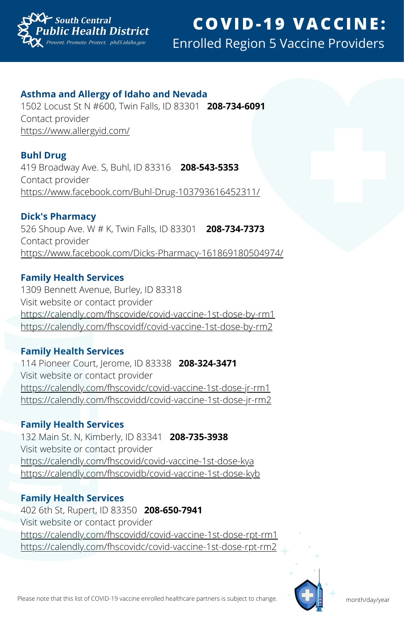

## **C O V I D - 1 9 V A C C I N E :** Enrolled Region 5 Vaccine Providers

#### **Asthma and Allergy of Idaho and Nevada**

1502 Locust St N #600, Twin Falls, ID 83301 **208-734-6091** Contact provider <https://www.allergyid.com/>

#### **Buhl Drug**

419 Broadway Ave. S, Buhl, ID 83316 **208-543-5353** Contact provider <https://www.facebook.com/Buhl-Drug-103793616452311/>

#### **Dick's Pharmacy**

526 Shoup Ave. W # K, Twin Falls, ID 83301 **208-734-7373** Contact provider <https://www.facebook.com/Dicks-Pharmacy-161869180504974/>

## **Family Health Services**

1309 Bennett Avenue, Burley, ID 83318 Visit website or contact provider <https://calendly.com/fhscovide/covid-vaccine-1st-dose-by-rm1> <https://calendly.com/fhscovidf/covid-vaccine-1st-dose-by-rm2>

#### **Family Health Services**

114 Pioneer Court, Jerome, ID 83338 **208-324-3471** Visit website or contact provider <https://calendly.com/fhscovidc/covid-vaccine-1st-dose-jr-rm1> <https://calendly.com/fhscovidd/covid-vaccine-1st-dose-jr-rm2>

## **Family Health Services**

132 Main St. N, Kimberly, ID 83341 **208-735-3938** Visit website or contact provider <https://calendly.com/fhscovid/covid-vaccine-1st-dose-kya> <https://calendly.com/fhscovidb/covid-vaccine-1st-dose-kyb>

## **Family Health Services**

402 6th St, Rupert, ID 83350 **208-650-7941** Visit website or contact provider <https://calendly.com/fhscovidd/covid-vaccine-1st-dose-rpt-rm1> <https://calendly.com/fhscovidc/covid-vaccine-1st-dose-rpt-rm2>

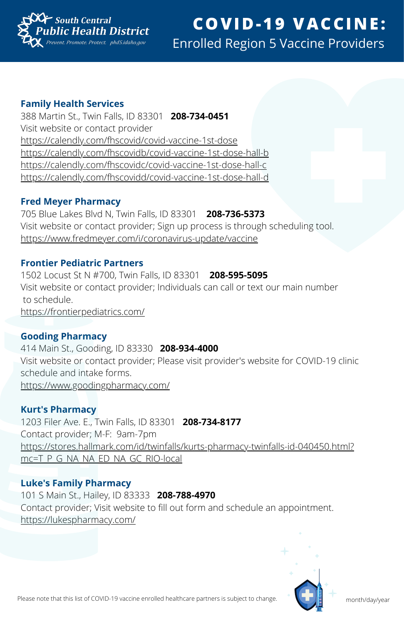

## **Family Health Services**

388 Martin St., Twin Falls, ID 83301 **208-734-0451** Visit website or contact provider <https://calendly.com/fhscovid/covid-vaccine-1st-dose> <https://calendly.com/fhscovidb/covid-vaccine-1st-dose-hall-b> <https://calendly.com/fhscovidc/covid-vaccine-1st-dose-hall-c> <https://calendly.com/fhscovidd/covid-vaccine-1st-dose-hall-d>

#### **Fred Meyer Pharmacy**

705 Blue Lakes Blvd N, Twin Falls, ID 83301 **208-736-5373** Visit website or contact provider; Sign up process is through scheduling tool. <https://www.fredmeyer.com/i/coronavirus-update/vaccine>

#### **Frontier Pediatric Partners**

1502 Locust St N #700, Twin Falls, ID 83301 **208-595-5095** Visit website or contact provider; Individuals can call or text our main number to schedule. <https://frontierpediatrics.com/>

## **Gooding Pharmacy**

414 Main St., Gooding, ID 83330 **208-934-4000** Visit website or contact provider; Please visit provider's website for COVID-19 clinic schedule and intake forms. <https://www.goodingpharmacy.com/>

## **Kurt's Pharmacy**

1203 Filer Ave. E., Twin Falls, ID 83301 **208-734-8177** Contact provider; M-F: 9am-7pm [https://stores.hallmark.com/id/twinfalls/kurts-pharmacy-twinfalls-id-040450.html?](https://stores.hallmark.com/id/twinfalls/kurts-pharmacy-twinfalls-id-040450.html?mc=T_P_G_NA_NA_ED_NA_GC_RIO-local) mc=T\_P\_G\_NA\_NA\_ED\_NA\_GC\_RIO-local

## **Luke's Family Pharmacy**

101 S Main St., Hailey, ID 83333 **208-788-4970** Contact provider; Visit website to fill out form and schedule an appointment. <https://lukespharmacy.com/>

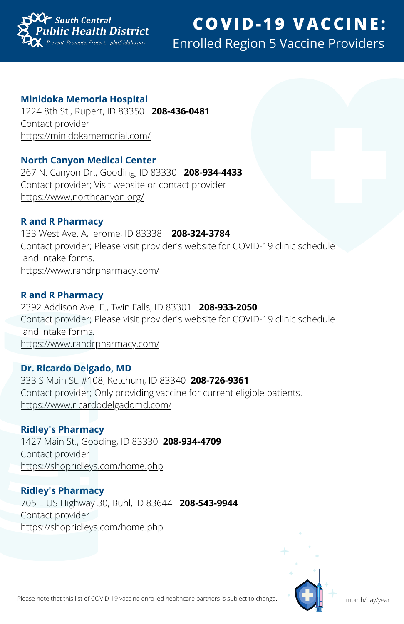

#### **Minidoka Memoria Hospital**

1224 8th St., Rupert, ID 83350 **208-436-0481** Contact provider <https://minidokamemorial.com/>

#### **North Canyon Medical Center**

267 N. Canyon Dr., Gooding, ID 83330 **208-934-4433** Contact provider; Visit website or contact provider <https://www.northcanyon.org/>

#### **R and R Pharmacy**

133 West Ave. A, Jerome, ID 83338 **208-324-3784** Contact provider; Please visit provider's website for COVID-19 clinic schedule and intake forms. <https://www.randrpharmacy.com/>

#### **R and R Pharmacy**

2392 Addison Ave. E., Twin Falls, ID 83301 **208-933-2050** Contact provider; Please visit provider's website for COVID-19 clinic schedule and intake forms. <https://www.randrpharmacy.com/>

#### **Dr. Ricardo Delgado, MD**

333 S Main St. #108, Ketchum, ID 83340 **208-726-9361** Contact provider; Only providing vaccine for current eligible patients. <https://www.ricardodelgadomd.com/>

#### **Ridley's Pharmacy**

1427 Main St., Gooding, ID 83330 **208-934-4709** Contact provider <https://shopridleys.com/home.php>

**Ridley's Pharmacy** 705 E US Highway 30, Buhl, ID 83644 **208-543-9944** Contact provider <https://shopridleys.com/home.php>

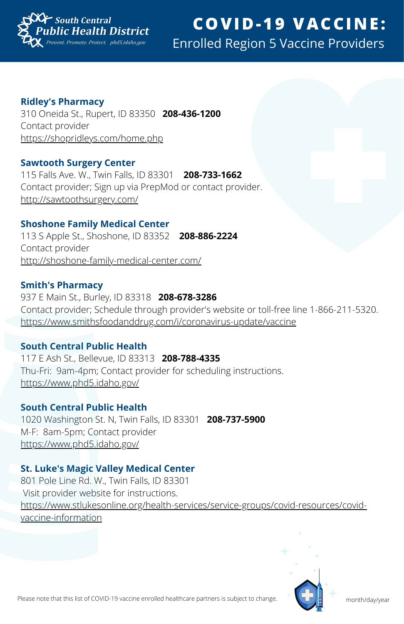

**Ridley's Pharmacy**

310 Oneida St., Rupert, ID 83350 **208-436-1200** Contact provider <https://shopridleys.com/home.php>

#### **Sawtooth Surgery Center**

115 Falls Ave. W., Twin Falls, ID 83301 **208-733-1662** Contact provider; Sign up via PrepMod or contact provider. <http://sawtoothsurgery.com/>

#### **Shoshone Family Medical Center**

113 S Apple St., Shoshone, ID 83352 **208-886-2224** Contact provider <http://shoshone-family-medical-center.com/>

#### **Smith's Pharmacy**

937 E Main St., Burley, ID 83318 **208-678-3286** Contact provider; Schedule through provider's website or toll-free line 1-866-211-5320. <https://www.smithsfoodanddrug.com/i/coronavirus-update/vaccine>

#### **South Central Public Health**

117 E Ash St., Bellevue, ID 83313 **208-788-4335** Thu-Fri: 9am-4pm; Contact provider for scheduling instructions. <https://www.phd5.idaho.gov/>

## **South Central Public Health**

1020 Washington St. N, Twin Falls, ID 83301 **208-737-5900** M-F: 8am-5pm; Contact provider <https://www.phd5.idaho.gov/>

## **St. Luke's Magic Valley Medical Center**

801 Pole Line Rd. W., Twin Falls, ID 83301 Visit provider website for instructions. [https://www.stlukesonline.org/health-services/service-groups/covid-resources/covid](https://www.stlukesonline.org/health-services/service-groups/covid-resources/covid-vaccine-information)vaccine-information